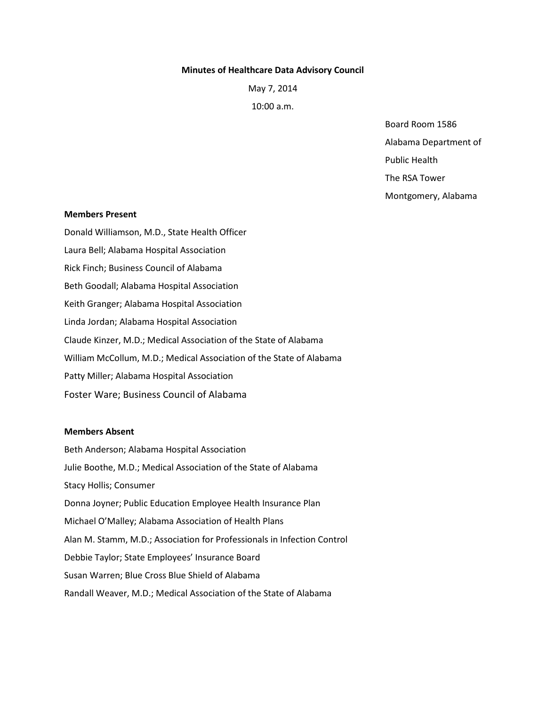#### **Minutes of Healthcare Data Advisory Council**

May 7, 2014

10:00 a.m.

Board Room 1586 Alabama Department of

Public Health

The RSA Tower

Montgomery, Alabama

#### **Members Present**

Donald Williamson, M.D., State Health Officer Laura Bell; Alabama Hospital Association Rick Finch; Business Council of Alabama Beth Goodall; Alabama Hospital Association Keith Granger; Alabama Hospital Association Linda Jordan; Alabama Hospital Association Claude Kinzer, M.D.; Medical Association of the State of Alabama William McCollum, M.D.; Medical Association of the State of Alabama Patty Miller; Alabama Hospital Association Foster Ware; Business Council of Alabama

### **Members Absent**

Beth Anderson; Alabama Hospital Association Julie Boothe, M.D.; Medical Association of the State of Alabama Stacy Hollis; Consumer Donna Joyner; Public Education Employee Health Insurance Plan Michael O'Malley; Alabama Association of Health Plans Alan M. Stamm, M.D.; Association for Professionals in Infection Control Debbie Taylor; State Employees' Insurance Board Susan Warren; Blue Cross Blue Shield of Alabama Randall Weaver, M.D.; Medical Association of the State of Alabama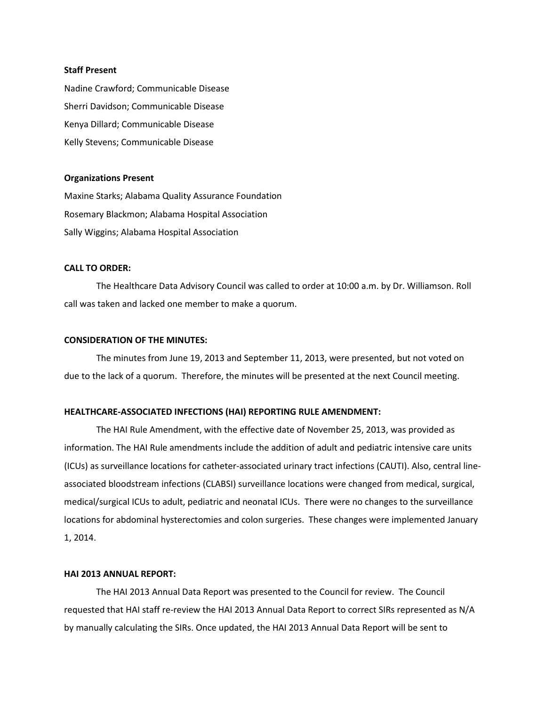#### **Staff Present**

Nadine Crawford; Communicable Disease Sherri Davidson; Communicable Disease Kenya Dillard; Communicable Disease Kelly Stevens; Communicable Disease

### **Organizations Present**

Maxine Starks; Alabama Quality Assurance Foundation Rosemary Blackmon; Alabama Hospital Association Sally Wiggins; Alabama Hospital Association

# **CALL TO ORDER:**

The Healthcare Data Advisory Council was called to order at 10:00 a.m. by Dr. Williamson. Roll call was taken and lacked one member to make a quorum.

## **CONSIDERATION OF THE MINUTES:**

The minutes from June 19, 2013 and September 11, 2013, were presented, but not voted on due to the lack of a quorum. Therefore, the minutes will be presented at the next Council meeting.

### **HEALTHCARE-ASSOCIATED INFECTIONS (HAI) REPORTING RULE AMENDMENT:**

The HAI Rule Amendment, with the effective date of November 25, 2013, was provided as information. The HAI Rule amendments include the addition of adult and pediatric intensive care units (ICUs) as surveillance locations for catheter-associated urinary tract infections (CAUTI). Also, central lineassociated bloodstream infections (CLABSI) surveillance locations were changed from medical, surgical, medical/surgical ICUs to adult, pediatric and neonatal ICUs. There were no changes to the surveillance locations for abdominal hysterectomies and colon surgeries. These changes were implemented January 1, 2014.

# **HAI 2013 ANNUAL REPORT:**

The HAI 2013 Annual Data Report was presented to the Council for review. The Council requested that HAI staff re-review the HAI 2013 Annual Data Report to correct SIRs represented as N/A by manually calculating the SIRs. Once updated, the HAI 2013 Annual Data Report will be sent to